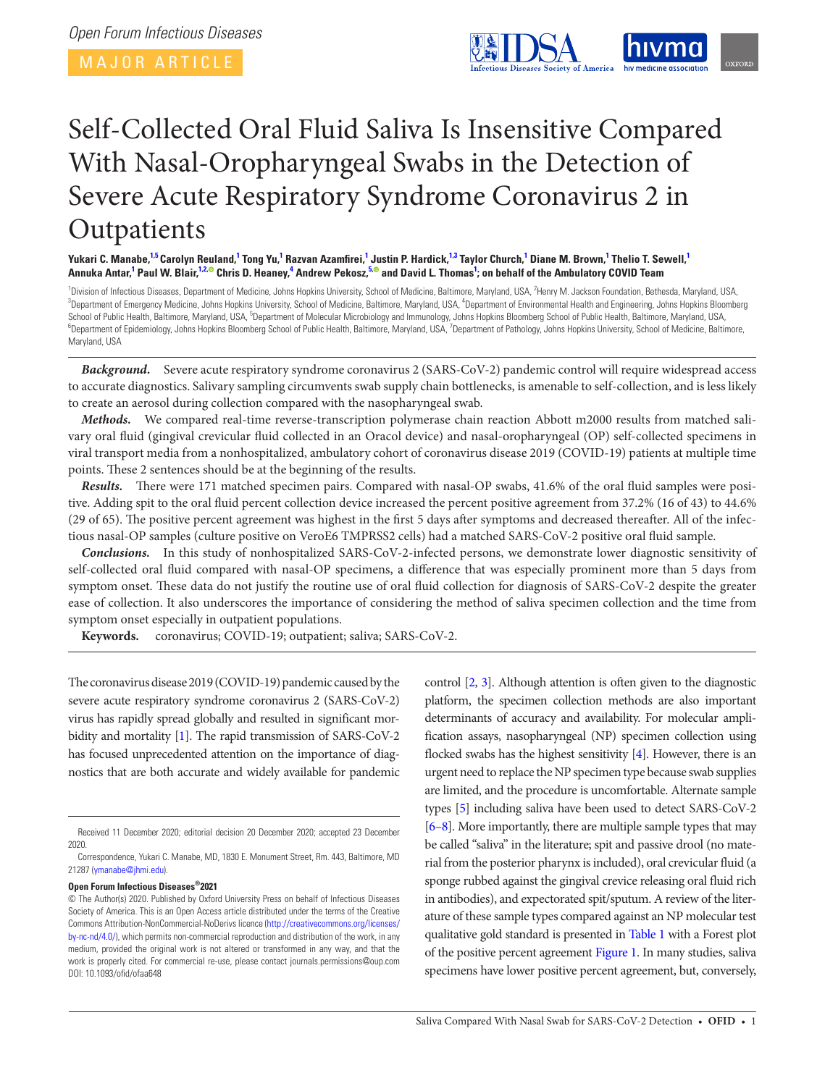

# Self-Collected Oral Fluid Saliva Is Insensitive Compared With Nasal-Oropharyngeal Swabs in the Detection of Severe Acute Respiratory Syndrome Coronavirus 2 in **Outpatients**

Yukari C. Manabe,<sup>[1,](#page-0-0)[5](#page-0-1)</sup> Carolyn Reuland,<sup>[1](#page-0-0)</sup> Tong Yu,<sup>1</sup> Razvan Azamfirei,<sup>1</sup> Justin P. Hardick,<sup>1,[3](#page-0-2)</sup> Taylor Church,<sup>1</sup> Diane M. Brown,<sup>1</sup> Thelio T. Sewell,<sup>1</sup> Annuka Antar,<sup>[1](#page-0-0)</sup> Paul W. Blair,<sup>1[2](#page-0-3),©</sup> Chris D. Heaney,<sup>[4](#page-0-4)</sup> Andrew Pekosz,<sup>[5](#page-0-1),©</sup> and David L. Thomas<sup>1</sup>; on behalf of the Ambulatory COVID Team

<span id="page-0-4"></span><span id="page-0-3"></span><span id="page-0-2"></span><span id="page-0-1"></span><span id="page-0-0"></span><sup>1</sup> Division of Infectious Diseases, Department of Medicine, Johns Hopkins University, School of Medicine, Baltimore, Maryland, USA, <sup>2</sup>Henry M. Jackson Foundation, Bethesda, Maryland, USA, <sup>3</sup><br><sup>3</sup>Department of Emergency M Department of Emergency Medicine, Johns Hopkins University, School of Medicine, Baltimore, Maryland, USA, <sup>4</sup>Department of Environmental Health and Engineering, Johns Hopkins Bloomberg School of Public Health, Baltimore, Maryland, USA, <sup>5</sup>Department of Molecular Microbiology and Immunology, Johns Hopkins Bloomberg School of Public Health, Baltimore, Maryland, USA, <sup>6</sup><br><sup>6</sup>Department of Enidomialogy, Johns Department of Epidemiology, Johns Hopkins Bloomberg School of Public Health, Baltimore, Maryland, USA, <sup>7</sup>Department of Pathology, Johns Hopkins University, School of Medicine, Baltimore, Maryland, USA

*Background.* Severe acute respiratory syndrome coronavirus 2 (SARS-CoV-2) pandemic control will require widespread access to accurate diagnostics. Salivary sampling circumvents swab supply chain bottlenecks, is amenable to self-collection, and is less likely to create an aerosol during collection compared with the nasopharyngeal swab.

*Methods.* We compared real-time reverse-transcription polymerase chain reaction Abbott m2000 results from matched salivary oral fluid (gingival crevicular fluid collected in an Oracol device) and nasal-oropharyngeal (OP) self-collected specimens in viral transport media from a nonhospitalized, ambulatory cohort of coronavirus disease 2019 (COVID-19) patients at multiple time points. These 2 sentences should be at the beginning of the results.

*Results.* There were 171 matched specimen pairs. Compared with nasal-OP swabs, 41.6% of the oral fluid samples were positive. Adding spit to the oral fluid percent collection device increased the percent positive agreement from 37.2% (16 of 43) to 44.6% (29 of 65). The positive percent agreement was highest in the first 5 days after symptoms and decreased thereafter. All of the infectious nasal-OP samples (culture positive on VeroE6 TMPRSS2 cells) had a matched SARS-CoV-2 positive oral fluid sample.

*Conclusions.* In this study of nonhospitalized SARS-CoV-2-infected persons, we demonstrate lower diagnostic sensitivity of self-collected oral fluid compared with nasal-OP specimens, a difference that was especially prominent more than 5 days from symptom onset. These data do not justify the routine use of oral fluid collection for diagnosis of SARS-CoV-2 despite the greater ease of collection. It also underscores the importance of considering the method of saliva specimen collection and the time from symptom onset especially in outpatient populations.

**Keywords.** coronavirus; COVID-19; outpatient; saliva; SARS-CoV-2.

The coronavirus disease 2019 (COVID-19) pandemic caused by the severe acute respiratory syndrome coronavirus 2 (SARS-CoV-2) virus has rapidly spread globally and resulted in significant morbidity and mortality [\[1](#page-8-0)]. The rapid transmission of SARS-CoV-2 has focused unprecedented attention on the importance of diagnostics that are both accurate and widely available for pandemic

### **Open Forum Infectious Diseases®2021**

control [[2](#page-8-1), [3](#page-8-2)]. Although attention is often given to the diagnostic platform, the specimen collection methods are also important determinants of accuracy and availability. For molecular amplification assays, nasopharyngeal (NP) specimen collection using flocked swabs has the highest sensitivity [\[4](#page-8-3)]. However, there is an urgent need to replace the NP specimen type because swab supplies are limited, and the procedure is uncomfortable. Alternate sample types [\[5](#page-8-4)] including saliva have been used to detect SARS-CoV-2 [\[6](#page-8-5)[–8\]](#page-8-6). More importantly, there are multiple sample types that may be called "saliva" in the literature; spit and passive drool (no material from the posterior pharynx is included), oral crevicular fluid (a sponge rubbed against the gingival crevice releasing oral fluid rich in antibodies), and expectorated spit/sputum. A review of the literature of these sample types compared against an NP molecular test qualitative gold standard is presented in [Table 1](#page-1-0) with a Forest plot of the positive percent agreement [Figure 1.](#page-5-0) In many studies, saliva specimens have lower positive percent agreement, but, conversely,

Received 11 December 2020; editorial decision 20 December 2020; accepted 23 December 2020.

Correspondence, Yukari C. Manabe, MD, 1830 E. Monument Street, Rm. 443, Baltimore, MD 21287 ([ymanabe@jhmi.edu](mailto:ymanabe@jhmi.edu?subject=)).

<sup>©</sup> The Author(s) 2020. Published by Oxford University Press on behalf of Infectious Diseases Society of America. This is an Open Access article distributed under the terms of the Creative Commons Attribution-NonCommercial-NoDerivs licence [\(http://creativecommons.org/licenses/](http://creativecommons.org/licenses/by-nc-nd/4.0/) [by-nc-nd/4.0/](http://creativecommons.org/licenses/by-nc-nd/4.0/)), which permits non-commercial reproduction and distribution of the work, in any medium, provided the original work is not altered or transformed in any way, and that the work is properly cited. For commercial re-use, please contact journals.permissions@oup.com DOI: 10.1093/ofid/ofaa648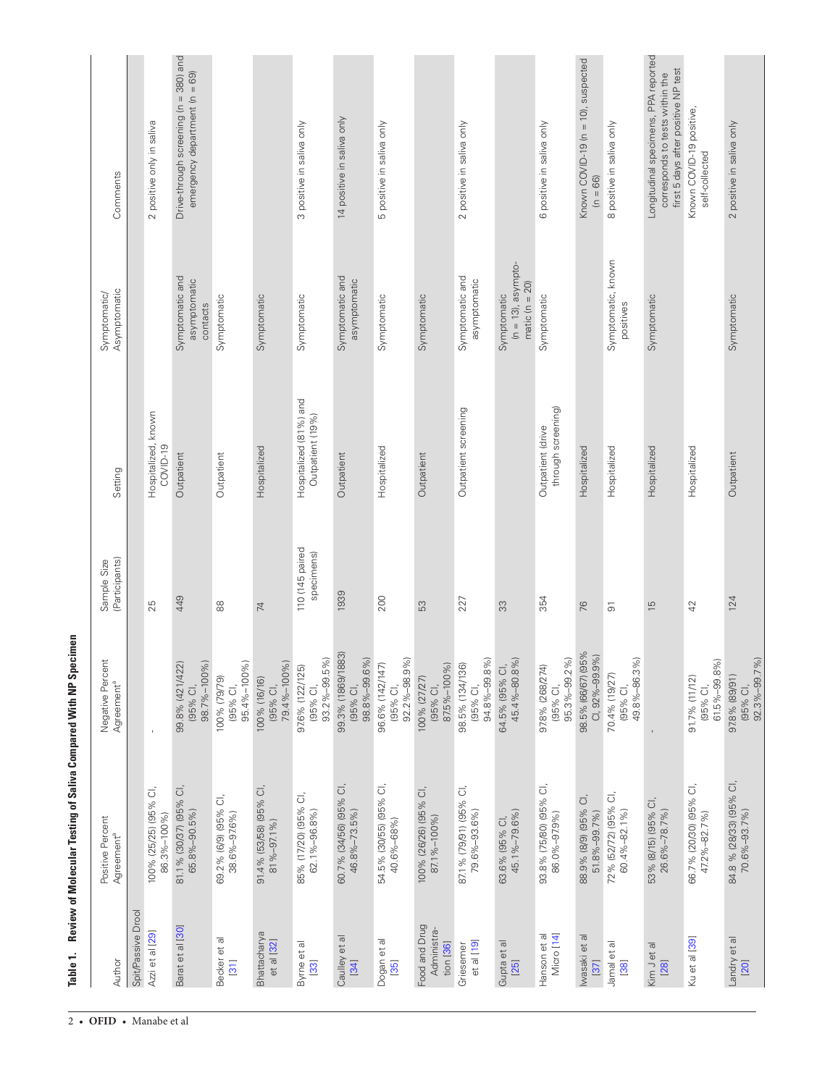<span id="page-1-0"></span>Table 1. Review of Molecular Testing of Saliva Compared With NP Specimen **Table 1. Review of Molecular Testing of Saliva Compared With NP Specimen**

2 • **ofid** • Manabe et al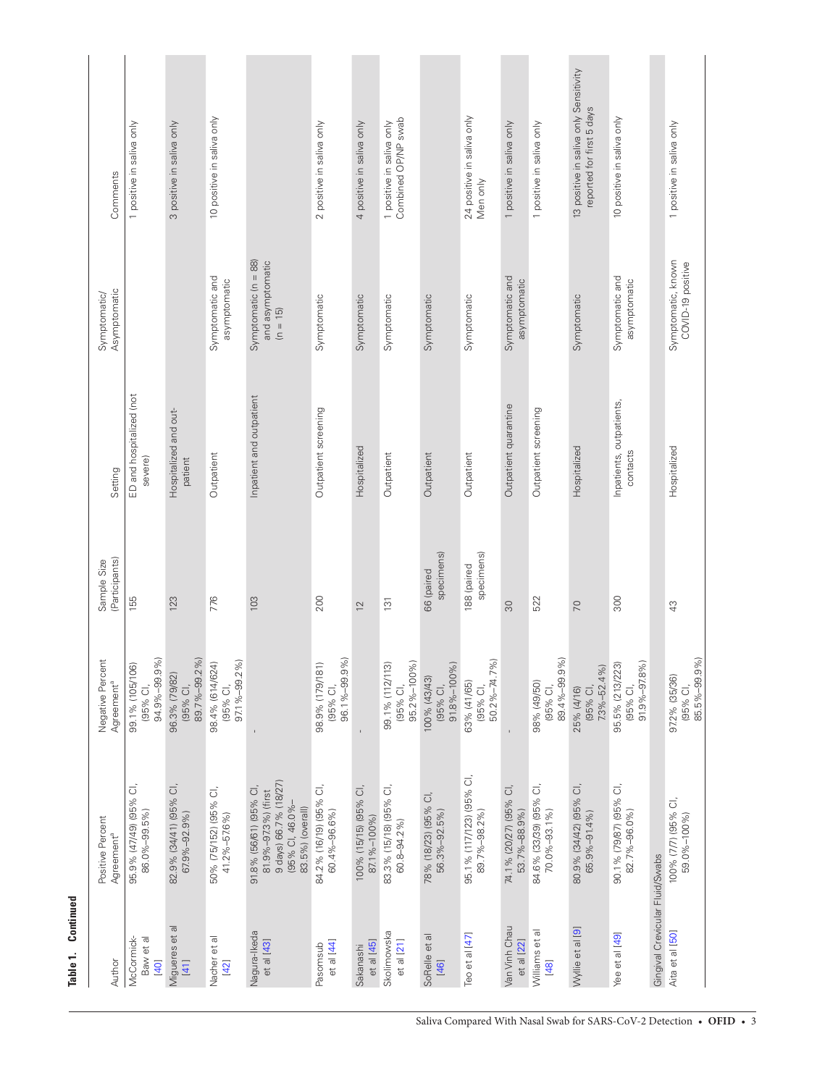| ∊      |
|--------|
| Į      |
| ì      |
|        |
|        |
|        |
| ۱      |
| Ć      |
|        |
|        |
|        |
|        |
| ь<br>d |
|        |
|        |
|        |
|        |

| Comments                                   | 1 positive in saliva only                           | 3 positive in saliva only                 | 10 positive in saliva only                  |                                                                                                               | 2 positive in saliva only                   | 4 positive in saliva only            | Combined OP/NP swab<br>1 positive in saliva only |                                         | 24 positive in saliva only<br>Men only   | 1 positive in saliva only              | 1 positive in saliva only               | 13 positive in saliva only Sensitivity<br>reported for first 5 days | 10 positive in saliva only                  |                                 | 1 positive in saliva only                 |
|--------------------------------------------|-----------------------------------------------------|-------------------------------------------|---------------------------------------------|---------------------------------------------------------------------------------------------------------------|---------------------------------------------|--------------------------------------|--------------------------------------------------|-----------------------------------------|------------------------------------------|----------------------------------------|-----------------------------------------|---------------------------------------------------------------------|---------------------------------------------|---------------------------------|-------------------------------------------|
| Asymptomatic<br>Symptomatic/               |                                                     |                                           | Symptomatic and<br>asymptomatic             | Symptomatic $(n = 88)$<br>and asymptomatic<br>$(n = 15)$                                                      | Symptomatic                                 | Symptomatic                          | Symptomatic                                      | Symptomatic                             | Symptomatic                              | Symptomatic and<br>asymptomatic        |                                         | Symptomatic                                                         | Symptomatic and<br>asymptomatic             |                                 | Symptomatic, known<br>COVID-19 positive   |
| Setting                                    | ED and hospitalized (not<br>severe)                 | Hospitalized and out-<br>patient          | Outpatient                                  | Inpatient and outpatient                                                                                      | Outpatient screening                        | Hospitalized                         | Outpatient                                       | Outpatient                              | Outpatient                               | Outpatient quarantine                  | Outpatient screening                    | Hospitalized                                                        | Inpatients, outpatients<br>contacts         |                                 | Hospitalized                              |
| (Participants)<br>Sample Size              | 155                                                 | 123                                       | 776                                         | 103                                                                                                           | 200                                         | $\overline{2}$                       | 131                                              | specimens)<br>66 (paired                | specimens)<br>188 (paired                | 30                                     | 522                                     | 70                                                                  | 300                                         |                                 | 43                                        |
| Negative Percent<br>Agreement <sup>a</sup> | 94.9%-99.9%)<br>99.1% (105/106)<br>(95% CI,         | 89.7%-99.2%)<br>96.3% (79/82)<br>(95% CI, | 97.1%-99.2%)<br>98.4% (614/624)<br>(95% CI, |                                                                                                               | 96.1%-99.9%)<br>98.9% (179/181)<br>(95% CI, | $\bar{1}$                            | 95.2%-100%)<br>99.1% (112/113)<br>(95% CI,       | 91.8%-100%)<br>100% (43/43)<br>(95% CI, | 50.2%-74.7%)<br>63% (41/65)<br>(95% CI,  | $\mathsf{I}$                           | 89.4%-99.9%)<br>98% (49/50)<br>(95% CI, | $7.3\% - 52.4\%$<br>(95% CI,<br>25% (4/16)                          | 91.9%-97.8%)<br>95.5% (213/223)<br>(95% CI, |                                 | 85.5%-99.9%)<br>97.2% (35/36)<br>(95% CI, |
| Positive Percent<br>Agreement <sup>a</sup> | $\vec{\circ}$<br>95.9% (47/49) (95%<br>86.0%-99.5%) | 82.9% (34/41) (95% CI,<br>67.9%-92.9%)    | 50% (75/152) (95% CI,<br>41.2%-57.6%)       | 9 days) 66.7% (18/27)<br>91.8% (56/61) (95% CI,<br>81.9%-97.3%) (first<br>(95% CI, 46.0%-<br>83.5%) (overall) | 84.2% (16/19) (95% CI,<br>60.4%-96.6%)      | 100% (15/15) (95% CI,<br>87.1%-100%) | 83.3% (15/18) (95% CI,<br>$60.8 - 94.2%$         | 78% (18/23) (95% CI,<br>56.3%-92.5%)    | 95.1% (117/123) (95% CI,<br>89.7%-98.2%) | 74.1% (20/27) (95% CI,<br>53.7%-88.9%) | 84.6% (33/39) (95% CI,<br>70.0%-93.1%)  | 80.9% (34/42) (95% CI,<br>65.9%-91.4%)                              | 90.1% (79/87) (95% CI,<br>82.7%-96.0%)      |                                 | 100% (7/7) (95% CI,<br>59.0%-100%)        |
| Author                                     | McCormick-<br>Baw et al<br>[40]                     | Migueres et al<br>$[41]$                  | Nacher et al<br>$[42]$                      | Nagura-Ikeda<br>et al [43]                                                                                    | et al [44]<br>Pasomsub                      | et al [45]<br>Sakanashi              | Skolimowska<br>$et$ al $[21]$                    | SoRelle et al<br>$[46]$                 | Teo et al [47]                           | Van Vinh Chau<br>et al [22]            | Williams et al<br>$[48]$                | Wyllie et al [9]                                                    | Yee et al [49]                              | Gingival Crevicular Fluid/Swabs | Aita et al [50]                           |

Saliva Compared With Nasal Swab for SARS-CoV-2 Detection • OFID • 3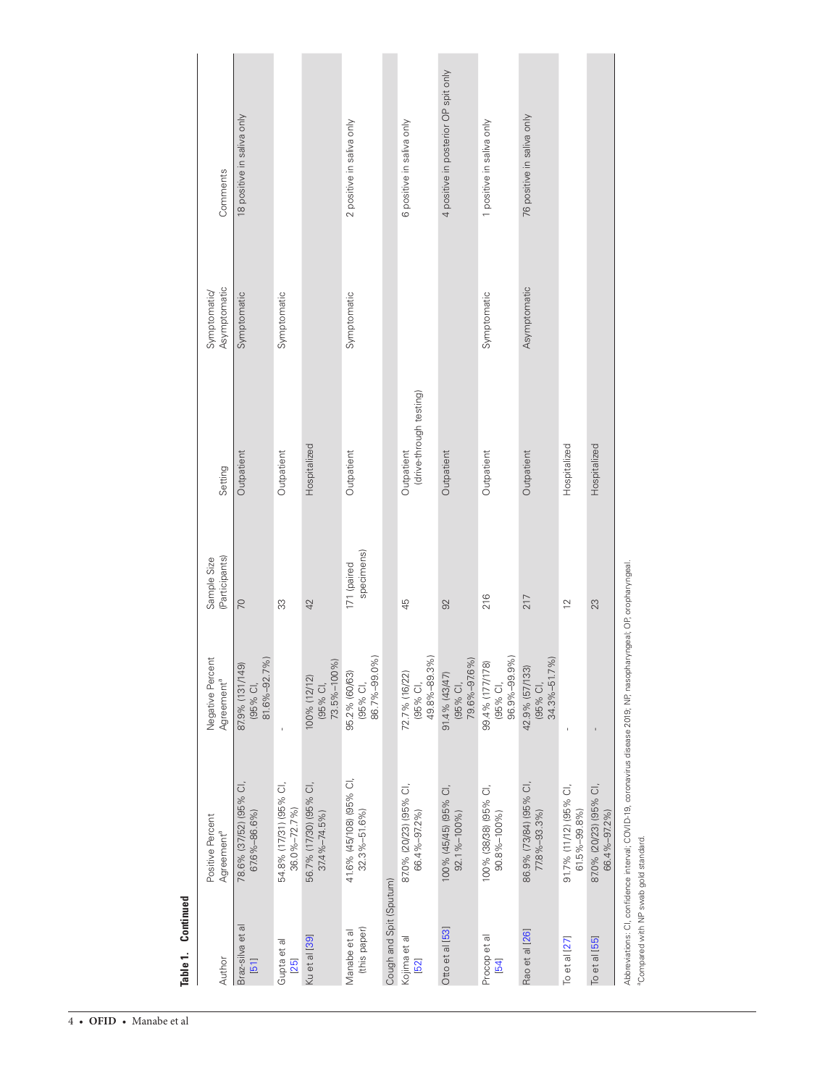| Author                       | Positive Percent<br>Agreement <sup>a</sup>                                                                     | Negative Percent<br>Agreement <sup>a</sup>               | (Participants)<br>Sample Size | Setting                               | Asymptomatic<br>Symptomatic/ | Comments                             |
|------------------------------|----------------------------------------------------------------------------------------------------------------|----------------------------------------------------------|-------------------------------|---------------------------------------|------------------------------|--------------------------------------|
| Braz-silva et al<br>$[51]$   | 78.6% (37/52) (95% CI,<br>67.6%-86.6%)                                                                         | 81.6%-92.7%)<br>87.9% (131/149)<br>(95% CI,              | $\overline{C}$                | Outpatient                            | Symptomatic                  | 18 positive in saliva only           |
| Gupta et al<br>$[25]$        | 54.8% (17/31) (95% CI,<br>$36.0\% - 72.7\%$                                                                    | ï                                                        | 33                            | Outpatient                            | Symptomatic                  |                                      |
| Ku et al [39]                | 56.7% (17/30) (95% CI,<br>$37.4\% - 74.5\%$                                                                    | 73.5%-100%)<br>100% (12/12)<br>(95% CI,                  | 42                            | Hospitalized                          |                              |                                      |
| (this paper)<br>Manabe et al | 41.6% (45/108) (95% CI,<br>$32.3\% - 51.6\%$                                                                   | 86.7%-99.0%)<br>95.2% (60/63)<br>(95% CI,                | specimens)<br>171 (paired     | Outpatient                            | Symptomatic                  | 2 positive in saliva only            |
| Cough and Spit (Sputum)      |                                                                                                                |                                                          |                               |                                       |                              |                                      |
| Kojima et al<br>[52]         | 87.0% (20/23) (95% CI,<br>66.4%-97.2%)                                                                         | 49.8%-89.3%)<br>72.7% (16/22)<br>(95% CI,                | 45                            | (drive-through testing)<br>Outpatient |                              | 6 positive in saliva only            |
| Otto et al [53]              | 100% (45/45) (95% CI,<br>92.1%-100%)                                                                           | 79.6%-97.6%)<br>91.4% (43/47)<br>(95% CI,                | 92                            | Outpatient                            |                              | 4 positive in posterior OP spit only |
| Procop et al<br>[54]         | 100% (38/38) (95% CI,<br>90.8%-100%)                                                                           | 96.9%-99.9%)<br>99.4% (177/178)<br>(95% CI,              | 216                           | Outpatient                            | Symptomatic                  | 1 positive in saliva only            |
| Rao et al [26]               | 86.9% (73/84) (95% CI,<br>77.8%-93.3%)                                                                         | 10/01<br>42.9% (57/133)<br>$34.3\% - 51.7$<br>$(95%$ Cl, | 217                           | Outpatient                            | Asymptomatic                 | 76 positive in saliva only           |
| To et al [27]                | 91.7% (11/12) (95% CI,<br>$61.5\% - 99.8\%$                                                                    |                                                          | $\overline{2}$                | Hospitalized                          |                              |                                      |
| To et al [55]                | 87.0% (20/23) (95% CI,<br>66.4%-97.2%)                                                                         |                                                          | 23                            | Hospitalized                          |                              |                                      |
|                              | יילאלייני בון אינייני בין המספר באינייני האינייני בין האינייני האינייני באינייני האינייני האינייני האינייני הא |                                                          | bon ingebi. OD orophorupage   |                                       |                              |                                      |

Abbreviations: CI, confidence interval; COVID-19, coronavirus disease 2019; NP, nasopharyngeal; OP, oropharyngeal. opharyngeal; OP, oropharyngeal. ì, ĵζ Abbreviations: CI, confidence interval; COVID-19,<br>®Compared with NP swab gold standard.

aCompared with NP swab gold standard.

**Table 1. Continued**

Table 1. Continued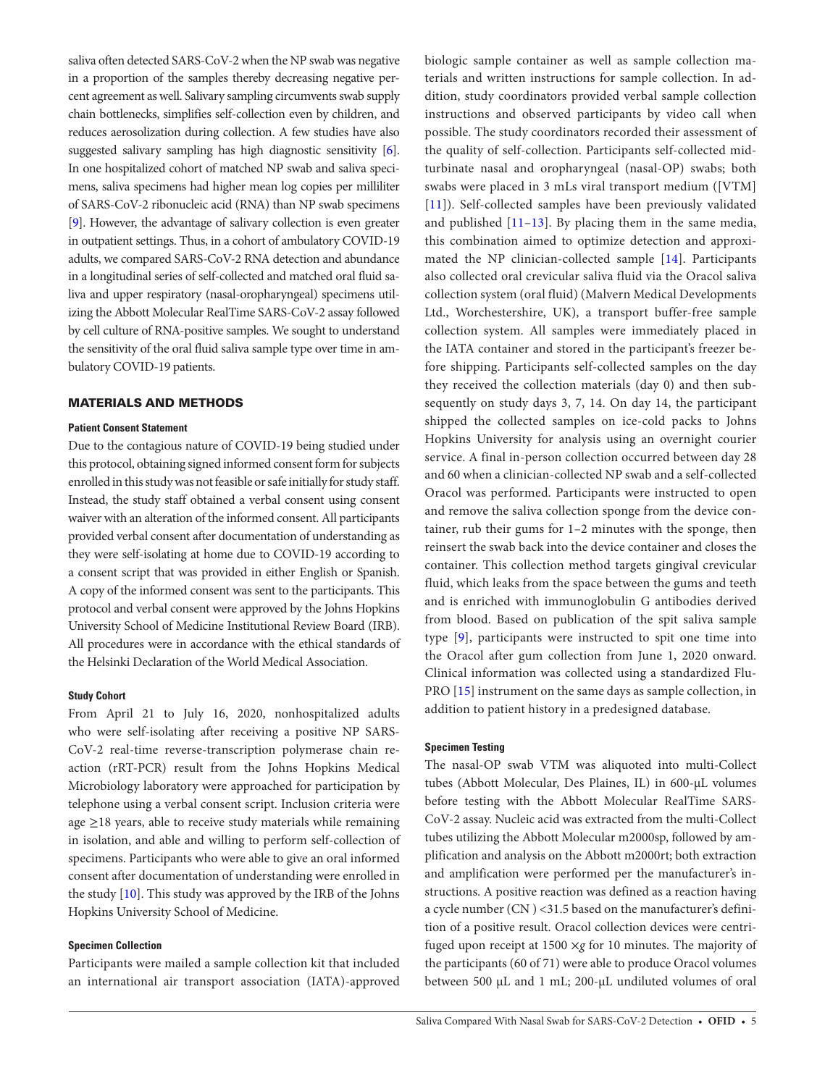saliva often detected SARS-CoV-2 when the NP swab was negative in a proportion of the samples thereby decreasing negative percent agreement as well. Salivary sampling circumvents swab supply chain bottlenecks, simplifies self-collection even by children, and reduces aerosolization during collection. A few studies have also suggested salivary sampling has high diagnostic sensitivity [\[6\]](#page-8-5). In one hospitalized cohort of matched NP swab and saliva specimens, saliva specimens had higher mean log copies per milliliter of SARS-CoV-2 ribonucleic acid (RNA) than NP swab specimens [\[9\]](#page-8-7). However, the advantage of salivary collection is even greater in outpatient settings. Thus, in a cohort of ambulatory COVID-19 adults, we compared SARS-CoV-2 RNA detection and abundance in a longitudinal series of self-collected and matched oral fluid saliva and upper respiratory (nasal-oropharyngeal) specimens utilizing the Abbott Molecular RealTime SARS-CoV-2 assay followed by cell culture of RNA-positive samples. We sought to understand the sensitivity of the oral fluid saliva sample type over time in ambulatory COVID-19 patients.

#### MATERIALS AND METHODS

#### **Patient Consent Statement**

Due to the contagious nature of COVID-19 being studied under this protocol, obtaining signed informed consent form for subjects enrolled in this study was not feasible or safe initially for study staff. Instead, the study staff obtained a verbal consent using consent waiver with an alteration of the informed consent. All participants provided verbal consent after documentation of understanding as they were self-isolating at home due to COVID-19 according to a consent script that was provided in either English or Spanish. A copy of the informed consent was sent to the participants. This protocol and verbal consent were approved by the Johns Hopkins University School of Medicine Institutional Review Board (IRB). All procedures were in accordance with the ethical standards of the Helsinki Declaration of the World Medical Association.

# **Study Cohort**

From April 21 to July 16, 2020, nonhospitalized adults who were self-isolating after receiving a positive NP SARS-CoV-2 real-time reverse-transcription polymerase chain reaction (rRT-PCR) result from the Johns Hopkins Medical Microbiology laboratory were approached for participation by telephone using a verbal consent script. Inclusion criteria were age ≥18 years, able to receive study materials while remaining in isolation, and able and willing to perform self-collection of specimens. Participants who were able to give an oral informed consent after documentation of understanding were enrolled in the study [\[10](#page-8-8)]. This study was approved by the IRB of the Johns Hopkins University School of Medicine.

# **Specimen Collection**

Participants were mailed a sample collection kit that included an international air transport association (IATA)-approved

biologic sample container as well as sample collection materials and written instructions for sample collection. In addition, study coordinators provided verbal sample collection instructions and observed participants by video call when possible. The study coordinators recorded their assessment of the quality of self-collection. Participants self-collected midturbinate nasal and oropharyngeal (nasal-OP) swabs; both swabs were placed in 3 mLs viral transport medium ([VTM] [\[11\]](#page-8-9)). Self-collected samples have been previously validated and published [\[11–](#page-8-9)[13\]](#page-8-10). By placing them in the same media, this combination aimed to optimize detection and approximated the NP clinician-collected sample [\[14\]](#page-9-10). Participants also collected oral crevicular saliva fluid via the Oracol saliva collection system (oral fluid) (Malvern Medical Developments Ltd., Worchestershire, UK), a transport buffer-free sample collection system. All samples were immediately placed in the IATA container and stored in the participant's freezer before shipping. Participants self-collected samples on the day they received the collection materials (day 0) and then subsequently on study days 3, 7, 14. On day 14, the participant shipped the collected samples on ice-cold packs to Johns Hopkins University for analysis using an overnight courier service. A final in-person collection occurred between day 28 and 60 when a clinician-collected NP swab and a self-collected Oracol was performed. Participants were instructed to open and remove the saliva collection sponge from the device container, rub their gums for 1–2 minutes with the sponge, then reinsert the swab back into the device container and closes the container. This collection method targets gingival crevicular fluid, which leaks from the space between the gums and teeth and is enriched with immunoglobulin G antibodies derived from blood. Based on publication of the spit saliva sample type [[9\]](#page-8-7), participants were instructed to spit one time into the Oracol after gum collection from June 1, 2020 onward. Clinical information was collected using a standardized Flu-PRO [[15](#page-9-36)] instrument on the same days as sample collection, in addition to patient history in a predesigned database.

#### **Specimen Testing**

The nasal-OP swab VTM was aliquoted into multi-Collect tubes (Abbott Molecular, Des Plaines, IL) in 600-µL volumes before testing with the Abbott Molecular RealTime SARS-CoV-2 assay. Nucleic acid was extracted from the multi-Collect tubes utilizing the Abbott Molecular m2000sp, followed by amplification and analysis on the Abbott m2000rt; both extraction and amplification were performed per the manufacturer's instructions. A positive reaction was defined as a reaction having a cycle number (CN ) <31.5 based on the manufacturer's definition of a positive result. Oracol collection devices were centrifuged upon receipt at 1500 ×*g* for 10 minutes. The majority of the participants (60 of 71) were able to produce Oracol volumes between 500 µL and 1 mL; 200-µL undiluted volumes of oral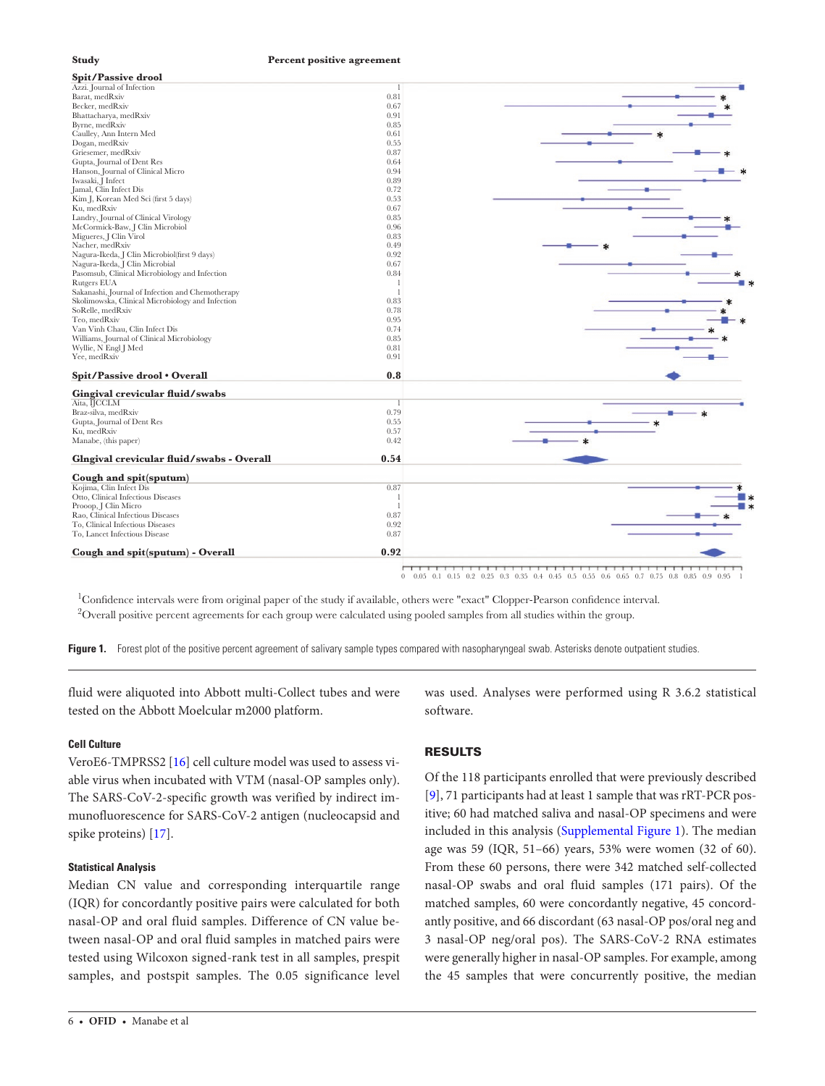

0 0.05 0.1 0.15 0.2 0.25 0.3 0.35 0.4 0.45 0.5 0.55 0.6 0.65 0.7 0.75 0.8 0.85 0.9 0.95 1

<span id="page-5-0"></span>1 Confidence intervals were from original paper of the study if available, others were "exact" Clopper-Pearson confidence interval.  $^2$ Overall positive percent agreements for each group were calculated using pooled samples from all studies within the group.

Figure 1. Forest plot of the positive percent agreement of salivary sample types compared with nasopharyngeal swab. Asterisks denote outpatient studies.

fluid were aliquoted into Abbott multi-Collect tubes and were tested on the Abbott Moelcular m2000 platform.

**Study Percent positive agreement**

#### **Cell Culture**

VeroE6-TMPRSS2 [[16\]](#page-9-37) cell culture model was used to assess viable virus when incubated with VTM (nasal-OP samples only). The SARS-CoV-2-specific growth was verified by indirect immunofluorescence for SARS-CoV-2 antigen (nucleocapsid and spike proteins) [[17\]](#page-9-38).

#### **Statistical Analysis**

Median CN value and corresponding interquartile range (IQR) for concordantly positive pairs were calculated for both nasal-OP and oral fluid samples. Difference of CN value between nasal-OP and oral fluid samples in matched pairs were tested using Wilcoxon signed-rank test in all samples, prespit samples, and postspit samples. The 0.05 significance level

6 • **ofid** • Manabe et al

was used. Analyses were performed using R 3.6.2 statistical software.

# RESULTS

Of the 118 participants enrolled that were previously described [\[9\]](#page-8-7), 71 participants had at least 1 sample that was rRT-PCR positive; 60 had matched saliva and nasal-OP specimens and were included in this analysis [\(Supplemental Figure 1\)](http://academic.oup.com/ofid/article-lookup/doi/10.1093/ofid/ofaa648#supplementary-data). The median age was 59 (IQR, 51–66) years, 53% were women (32 of 60). From these 60 persons, there were 342 matched self-collected nasal-OP swabs and oral fluid samples (171 pairs). Of the matched samples, 60 were concordantly negative, 45 concordantly positive, and 66 discordant (63 nasal-OP pos/oral neg and 3 nasal-OP neg/oral pos). The SARS-CoV-2 RNA estimates were generally higher in nasal-OP samples. For example, among the 45 samples that were concurrently positive, the median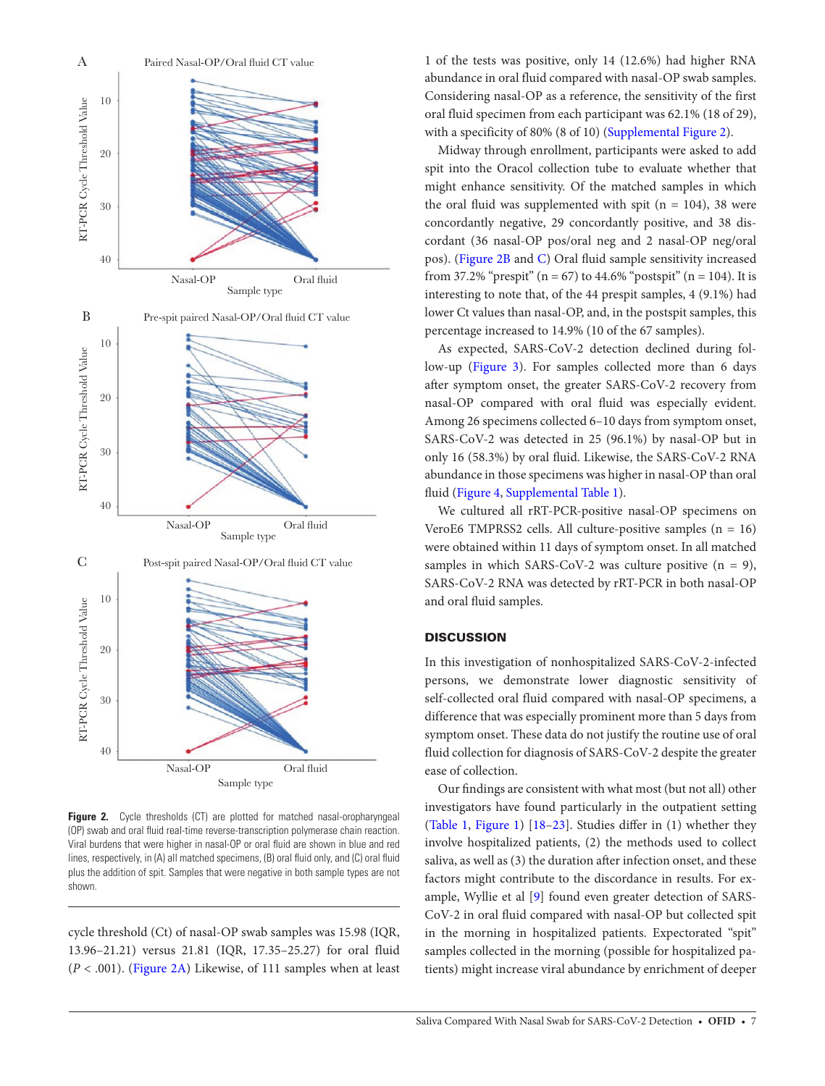

<span id="page-6-0"></span>**Figure 2.** Cycle thresholds (CT) are plotted for matched nasal-oropharyngeal (OP) swab and oral fluid real-time reverse-transcription polymerase chain reaction. Viral burdens that were higher in nasal-OP or oral fluid are shown in blue and red lines, respectively, in (A) all matched specimens, (B) oral fluid only, and (C) oral fluid plus the addition of spit. Samples that were negative in both sample types are not shown.

cycle threshold (Ct) of nasal-OP swab samples was 15.98 (IQR, 13.96–21.21) versus 21.81 (IQR, 17.35–25.27) for oral fluid (*P* < .001). ([Figure 2A](#page-6-0)) Likewise, of 111 samples when at least

1 of the tests was positive, only 14 (12.6%) had higher RNA abundance in oral fluid compared with nasal-OP swab samples. Considering nasal-OP as a reference, the sensitivity of the first oral fluid specimen from each participant was 62.1% (18 of 29), with a specificity of 80% (8 of 10) ([Supplemental Figure 2\)](http://academic.oup.com/ofid/article-lookup/doi/10.1093/ofid/ofaa648#supplementary-data).

Midway through enrollment, participants were asked to add spit into the Oracol collection tube to evaluate whether that might enhance sensitivity. Of the matched samples in which the oral fluid was supplemented with spit ( $n = 104$ ), 38 were concordantly negative, 29 concordantly positive, and 38 discordant (36 nasal-OP pos/oral neg and 2 nasal-OP neg/oral pos). ([Figure 2B](#page-6-0) and [C](#page-6-0)) Oral fluid sample sensitivity increased from 37.2% "prespit" ( $n = 67$ ) to 44.6% "postspit" ( $n = 104$ ). It is interesting to note that, of the 44 prespit samples, 4 (9.1%) had lower Ct values than nasal-OP, and, in the postspit samples, this percentage increased to 14.9% (10 of the 67 samples).

As expected, SARS-CoV-2 detection declined during follow-up (Figure 3). For samples collected more than 6 days after symptom onset, the greater SARS-CoV-2 recovery from nasal-OP compared with oral fluid was especially evident. Among 26 specimens collected 6–10 days from symptom onset, SARS-CoV-2 was detected in 25 (96.1%) by nasal-OP but in only 16 (58.3%) by oral fluid. Likewise, the SARS-CoV-2 RNA abundance in those specimens was higher in nasal-OP than oral fluid ([Figure 4](#page-8-11), [Supplemental Table 1\)](http://academic.oup.com/ofid/article-lookup/doi/10.1093/ofid/ofaa648#supplementary-data).

We cultured all rRT-PCR-positive nasal-OP specimens on VeroE6 TMPRSS2 cells. All culture-positive samples (n = 16) were obtained within 11 days of symptom onset. In all matched samples in which SARS-CoV-2 was culture positive  $(n = 9)$ , SARS-CoV-2 RNA was detected by rRT-PCR in both nasal-OP and oral fluid samples.

# **DISCUSSION**

In this investigation of nonhospitalized SARS-CoV-2-infected persons, we demonstrate lower diagnostic sensitivity of self-collected oral fluid compared with nasal-OP specimens, a difference that was especially prominent more than 5 days from symptom onset. These data do not justify the routine use of oral fluid collection for diagnosis of SARS-CoV-2 despite the greater ease of collection.

Our findings are consistent with what most (but not all) other investigators have found particularly in the outpatient setting [\(Table 1](#page-1-0), [Figure 1](#page-5-0)) [[18](#page-9-39)[–23](#page-9-40)]. Studies differ in (1) whether they involve hospitalized patients, (2) the methods used to collect saliva, as well as (3) the duration after infection onset, and these factors might contribute to the discordance in results. For example, Wyllie et al [\[9\]](#page-8-7) found even greater detection of SARS-CoV-2 in oral fluid compared with nasal-OP but collected spit in the morning in hospitalized patients. Expectorated "spit" samples collected in the morning (possible for hospitalized patients) might increase viral abundance by enrichment of deeper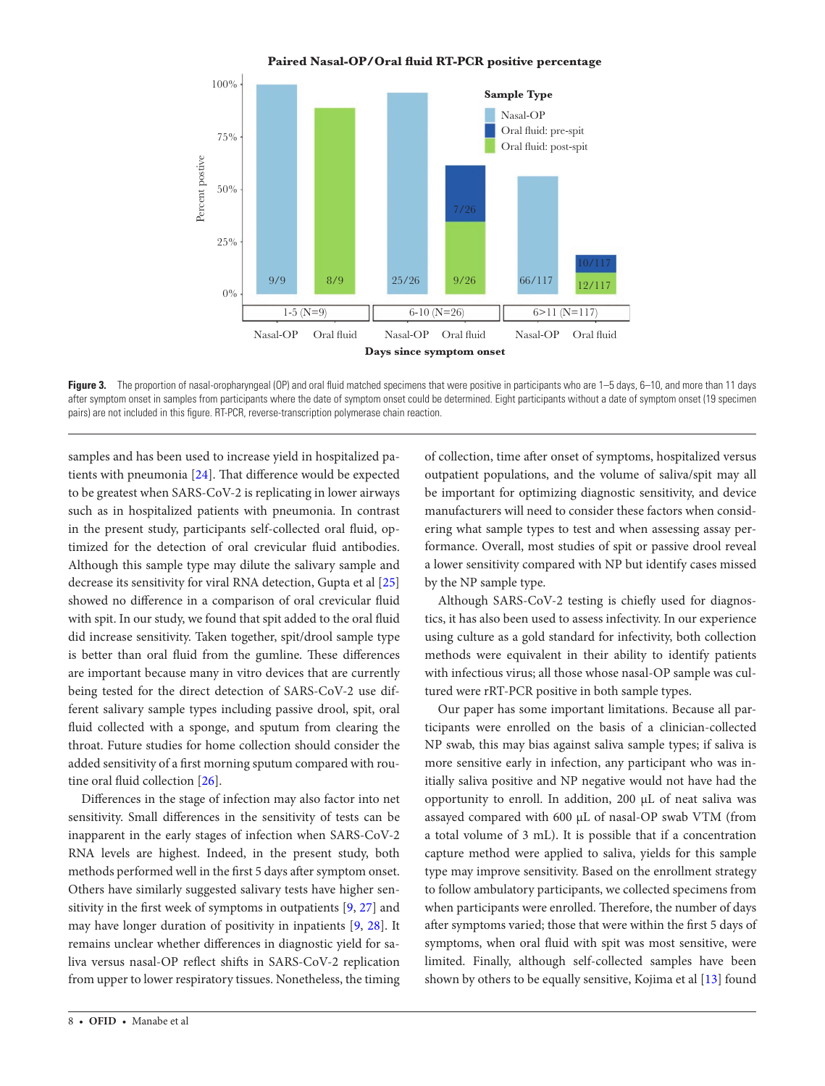

Figure 3. The proportion of nasal-oropharyngeal (OP) and oral fluid matched specimens that were positive in participants who are 1–5 days, 6–10, and more than 11 days after symptom onset in samples from participants where the date of symptom onset could be determined. Eight participants without a date of symptom onset (19 specimen pairs) are not included in this figure. RT-PCR, reverse-transcription polymerase chain reaction.

samples and has been used to increase yield in hospitalized patients with pneumonia [[24\]](#page-9-41). That difference would be expected to be greatest when SARS-CoV-2 is replicating in lower airways such as in hospitalized patients with pneumonia. In contrast in the present study, participants self-collected oral fluid, optimized for the detection of oral crevicular fluid antibodies. Although this sample type may dilute the salivary sample and decrease its sensitivity for viral RNA detection, Gupta et al [[25\]](#page-9-9) showed no difference in a comparison of oral crevicular fluid with spit. In our study, we found that spit added to the oral fluid did increase sensitivity. Taken together, spit/drool sample type is better than oral fluid from the gumline. These differences are important because many in vitro devices that are currently being tested for the direct detection of SARS-CoV-2 use different salivary sample types including passive drool, spit, oral fluid collected with a sponge, and sputum from clearing the throat. Future studies for home collection should consider the added sensitivity of a first morning sputum compared with routine oral fluid collection [\[26](#page-9-33)].

Differences in the stage of infection may also factor into net sensitivity. Small differences in the sensitivity of tests can be inapparent in the early stages of infection when SARS-CoV-2 RNA levels are highest. Indeed, in the present study, both methods performed well in the first 5 days after symptom onset. Others have similarly suggested salivary tests have higher sensitivity in the first week of symptoms in outpatients [[9](#page-8-7), [27](#page-9-34)] and may have longer duration of positivity in inpatients [\[9,](#page-8-7) [28\]](#page-9-13). It remains unclear whether differences in diagnostic yield for saliva versus nasal-OP reflect shifts in SARS-CoV-2 replication from upper to lower respiratory tissues. Nonetheless, the timing

8 • **ofid** • Manabe et al

<span id="page-7-0"></span>of collection, time after onset of symptoms, hospitalized versus outpatient populations, and the volume of saliva/spit may all be important for optimizing diagnostic sensitivity, and device manufacturers will need to consider these factors when considering what sample types to test and when assessing assay performance. Overall, most studies of spit or passive drool reveal a lower sensitivity compared with NP but identify cases missed by the NP sample type.

Although SARS-CoV-2 testing is chiefly used for diagnostics, it has also been used to assess infectivity. In our experience using culture as a gold standard for infectivity, both collection methods were equivalent in their ability to identify patients with infectious virus; all those whose nasal-OP sample was cultured were rRT-PCR positive in both sample types.

Our paper has some important limitations. Because all participants were enrolled on the basis of a clinician-collected NP swab, this may bias against saliva sample types; if saliva is more sensitive early in infection, any participant who was initially saliva positive and NP negative would not have had the opportunity to enroll. In addition, 200 µL of neat saliva was assayed compared with 600 µL of nasal-OP swab VTM (from a total volume of 3 mL). It is possible that if a concentration capture method were applied to saliva, yields for this sample type may improve sensitivity. Based on the enrollment strategy to follow ambulatory participants, we collected specimens from when participants were enrolled. Therefore, the number of days after symptoms varied; those that were within the first 5 days of symptoms, when oral fluid with spit was most sensitive, were limited. Finally, although self-collected samples have been shown by others to be equally sensitive, Kojima et al [[13\]](#page-8-10) found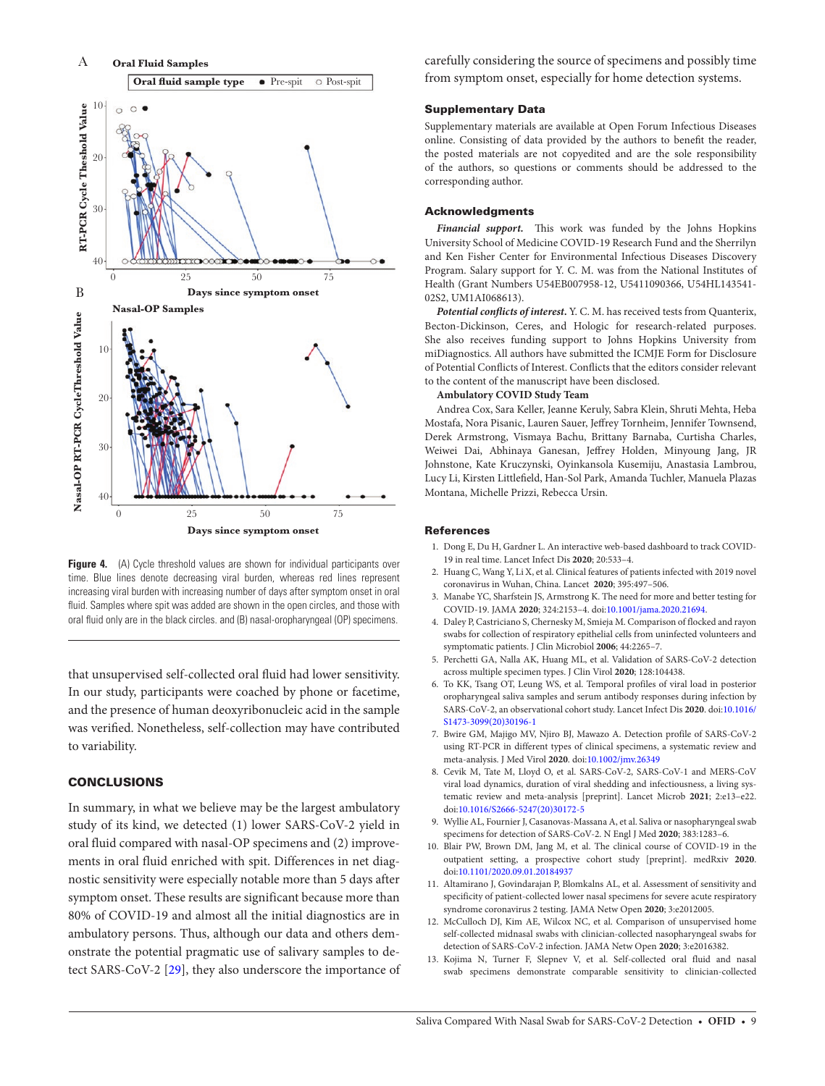

<span id="page-8-11"></span>**Figure 4.** (A) Cycle threshold values are shown for individual participants over time. Blue lines denote decreasing viral burden, whereas red lines represent increasing viral burden with increasing number of days after symptom onset in oral fluid. Samples where spit was added are shown in the open circles, and those with oral fluid only are in the black circles. and (B) nasal-oropharyngeal (OP) specimens.

that unsupervised self-collected oral fluid had lower sensitivity. In our study, participants were coached by phone or facetime, and the presence of human deoxyribonucleic acid in the sample was verified. Nonetheless, self-collection may have contributed to variability.

## **CONCLUSIONS**

In summary, in what we believe may be the largest ambulatory study of its kind, we detected (1) lower SARS-CoV-2 yield in oral fluid compared with nasal-OP specimens and (2) improvements in oral fluid enriched with spit. Differences in net diagnostic sensitivity were especially notable more than 5 days after symptom onset. These results are significant because more than 80% of COVID-19 and almost all the initial diagnostics are in ambulatory persons. Thus, although our data and others demonstrate the potential pragmatic use of salivary samples to detect SARS-CoV-2 [\[29](#page-9-0)], they also underscore the importance of carefully considering the source of specimens and possibly time from symptom onset, especially for home detection systems.

#### Supplementary Data

Supplementary materials are available at Open Forum Infectious Diseases online. Consisting of data provided by the authors to benefit the reader, the posted materials are not copyedited and are the sole responsibility of the authors, so questions or comments should be addressed to the corresponding author.

#### Acknowledgments

*Financial support.* This work was funded by the Johns Hopkins University School of Medicine COVID-19 Research Fund and the Sherrilyn and Ken Fisher Center for Environmental Infectious Diseases Discovery Program. Salary support for Y. C. M. was from the National Institutes of Health (Grant Numbers U54EB007958-12, U5411090366, U54HL143541- 02S2, UM1AI068613).

*Potential conflicts of interest***.** Y. C. M. has received tests from Quanterix, Becton-Dickinson, Ceres, and Hologic for research-related purposes. She also receives funding support to Johns Hopkins University from miDiagnostics. All authors have submitted the ICMJE Form for Disclosure of Potential Conflicts of Interest. Conflicts that the editors consider relevant to the content of the manuscript have been disclosed.

## **Ambulatory COVID Study Team**

Andrea Cox, Sara Keller, Jeanne Keruly, Sabra Klein, Shruti Mehta, Heba Mostafa, Nora Pisanic, Lauren Sauer, Jeffrey Tornheim, Jennifer Townsend, Derek Armstrong, Vismaya Bachu, Brittany Barnaba, Curtisha Charles, Weiwei Dai, Abhinaya Ganesan, Jeffrey Holden, Minyoung Jang, JR Johnstone, Kate Kruczynski, Oyinkansola Kusemiju, Anastasia Lambrou, Lucy Li, Kirsten Littlefield, Han-Sol Park, Amanda Tuchler, Manuela Plazas Montana, Michelle Prizzi, Rebecca Ursin.

#### **References**

- <span id="page-8-0"></span>1. Dong E, Du H, Gardner L. An interactive web-based dashboard to track COVID-19 in real time. Lancet Infect Dis **2020**; 20:533–4.
- <span id="page-8-1"></span>2. Huang C, Wang Y, Li X, et al. Clinical features of patients infected with 2019 novel coronavirus in Wuhan, China. Lancet **2020**; 395:497–506.
- <span id="page-8-2"></span>3. Manabe YC, Sharfstein JS, Armstrong K. The need for more and better testing for COVID-19. JAMA **2020**; 324:2153–4. doi:[10.1001/jama.2020.21694.](https://doi.org/10.1001/jama.2020.21694)
- <span id="page-8-3"></span>4. Daley P, Castriciano S, Chernesky M, Smieja M. Comparison of flocked and rayon swabs for collection of respiratory epithelial cells from uninfected volunteers and symptomatic patients. J Clin Microbiol **2006**; 44:2265–7.
- <span id="page-8-4"></span>5. Perchetti GA, Nalla AK, Huang ML, et al. Validation of SARS-CoV-2 detection across multiple specimen types. J Clin Virol **2020**; 128:104438.
- <span id="page-8-5"></span>6. To KK, Tsang OT, Leung WS, et al. Temporal profiles of viral load in posterior oropharyngeal saliva samples and serum antibody responses during infection by SARS-CoV-2, an observational cohort study. Lancet Infect Dis **2020**. doi:[10.1016/](https://doi.org/10.1016/S1473-3099(20)30196-1) [S1473-3099\(20\)30196-1](https://doi.org/10.1016/S1473-3099(20)30196-1)
- 7. Bwire GM, Majigo MV, Njiro BJ, Mawazo A. Detection profile of SARS-CoV-2 using RT-PCR in different types of clinical specimens, a systematic review and meta-analysis. J Med Virol **2020**. doi:[10.1002/jmv.26349](https://doi.org/10.1002/jmv.26349)
- <span id="page-8-6"></span>8. Cevik M, Tate M, Lloyd O, et al. SARS-CoV-2, SARS-CoV-1 and MERS-CoV viral load dynamics, duration of viral shedding and infectiousness, a living systematic review and meta-analysis [preprint]. Lancet Microb **2021**; 2:e13–e22. doi[:10.1016/S2666-5247\(20\)30172-5](https://doi.org/10.1016/S2666-5247(20)30172-5)
- <span id="page-8-7"></span>9. Wyllie AL, Fournier J, Casanovas-Massana A, et al. Saliva or nasopharyngeal swab specimens for detection of SARS-CoV-2. N Engl J Med **2020**; 383:1283–6.
- <span id="page-8-8"></span>10. Blair PW, Brown DM, Jang M, et al. The clinical course of COVID-19 in the outpatient setting, a prospective cohort study [preprint]. medRxiv **2020**. doi[:10.1101/2020.09.01.20184937](https://doi.org/10.1101/2020.09.01.20184937)
- 11. Altamirano J, Govindarajan P, Blomkalns AL, et al. Assessment of sensitivity and specificity of patient-collected lower nasal specimens for severe acute respiratory syndrome coronavirus 2 testing. JAMA Netw Open **2020**; 3:e2012005.
- <span id="page-8-9"></span>12. McCulloch DJ, Kim AE, Wilcox NC, et al. Comparison of unsupervised home self-collected midnasal swabs with clinician-collected nasopharyngeal swabs for detection of SARS-CoV-2 infection. JAMA Netw Open **2020**; 3:e2016382.
- <span id="page-8-10"></span>13. Kojima N, Turner F, Slepnev V, et al. Self-collected oral fluid and nasal swab specimens demonstrate comparable sensitivity to clinician-collected